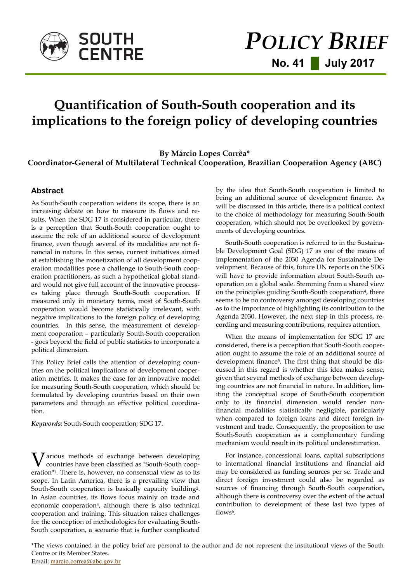

# **Quantification of South-South cooperation and its implications to the foreign policy of developing countries**

**By Márcio Lopes Corrêa\* Coordinator-General of Multilateral Technical Cooperation, Brazilian Cooperation Agency (ABC)**

### **Abstract**

As South-South cooperation widens its scope, there is an increasing debate on how to measure its flows and results. When the SDG 17 is considered in particular, there is a perception that South-South cooperation ought to assume the role of an additional source of development finance, even though several of its modalities are not financial in nature. In this sense, current initiatives aimed at establishing the monetization of all development cooperation modalities pose a challenge to South-South cooperation practitioners, as such a hypothetical global standard would not give full account of the innovative processes taking place through South-South cooperation. If measured only in monetary terms, most of South-South cooperation would become statistically irrelevant, with negative implications to the foreign policy of developing countries. In this sense, the measurement of development cooperation – particularly South-South cooperation - goes beyond the field of public statistics to incorporate a political dimension.

This Policy Brief calls the attention of developing countries on the political implications of development cooperation metrics. It makes the case for an innovative model for measuring South-South cooperation, which should be formulated by developing countries based on their own parameters and through an effective political coordination.

*Keywords:* South-South cooperation; SDG 17.

**V** arious methods of exchange between developing<br>countries have been classified as "South-South coopcountries have been classified as "South-South cooperation"1. There is, however, no consensual view as to its scope. In Latin America, there is a prevailing view that South-South cooperation is basically capacity building2. In Asian countries, its flows focus mainly on trade and economic cooperation3, although there is also technical cooperation and training. This situation raises challenges for the conception of methodologies for evaluating South-South cooperation, a scenario that is further complicated

by the idea that South-South cooperation is limited to being an additional source of development finance. As will be discussed in this article, there is a political context to the choice of methodology for measuring South-South cooperation, which should not be overlooked by governments of developing countries.

South-South cooperation is referred to in the Sustainable Development Goal (SDG) 17 as one of the means of implementation of the 2030 Agenda for Sustainable Development. Because of this, future UN reports on the SDG will have to provide information about South-South cooperation on a global scale. Stemming from a shared view on the principles guiding South-South cooperation<sup>4</sup>, there seems to be no controversy amongst developing countries as to the importance of highlighting its contribution to the Agenda 2030. However, the next step in this process, recording and measuring contributions, requires attention.

When the means of implementation for SDG 17 are considered, there is a perception that South-South cooperation ought to assume the role of an additional source of development finance5. The first thing that should be discussed in this regard is whether this idea makes sense, given that several methods of exchange between developing countries are not financial in nature. In addition, limiting the conceptual scope of South-South cooperation only to its financial dimension would render nonfinancial modalities statistically negligible, particularly when compared to foreign loans and direct foreign investment and trade. Consequently, the proposition to use South-South cooperation as a complementary funding mechanism would result in its political underestimation.

For instance, concessional loans, capital subscriptions to international financial institutions and financial aid may be considered as funding sources per se. Trade and direct foreign investment could also be regarded as sources of financing through South-South cooperation, although there is controversy over the extent of the actual contribution to development of these last two types of flows<sup>6</sup>.

\*The views contained in the policy brief are personal to the author and do not represent the institutional views of the South Centre or its Member States. Email: [marcio.correa@abc.gov.br](mailto:marcio.correa@abc.gov.br)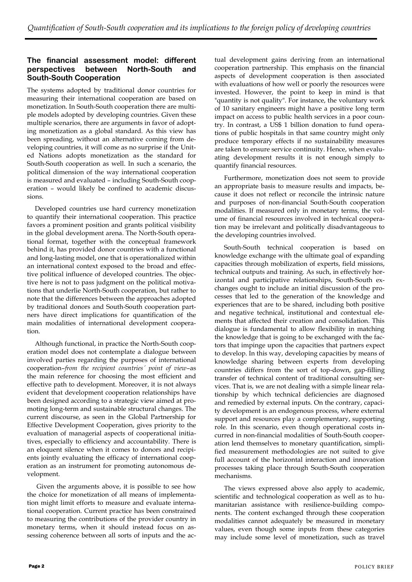## **The financial assessment model: different perspectives between North-South and South-South Cooperation**

The systems adopted by traditional donor countries for measuring their international cooperation are based on monetization. In South-South cooperation there are multiple models adopted by developing countries. Given these multiple scenarios, there are arguments in favor of adopting monetization as a global standard. As this view has been spreading, without an alternative coming from developing countries, it will come as no surprise if the United Nations adopts monetization as the standard for South-South cooperation as well. In such a scenario, the political dimension of the way international cooperation is measured and evaluated – including South-South cooperation – would likely be confined to academic discussions.

Developed countries use hard currency monetization to quantify their international cooperation. This practice favors a prominent position and grants political visibility in the global development arena. The North-South operational format, together with the conceptual framework behind it, has provided donor countries with a functional and long-lasting model, one that is operationalized within an international context exposed to the broad and effective political influence of developed countries. The objective here is not to pass judgment on the political motivations that underlie North-South cooperation, but rather to note that the differences between the approaches adopted by traditional donors and South-South cooperation partners have direct implications for quantification of the main modalities of international development cooperation.

Although functional, in practice the North-South cooperation model does not contemplate a dialogue between involved parties regarding the purposes of international cooperation–*from the recipient countries´ point of view*–as the main reference for choosing the most efficient and effective path to development. Moreover, it is not always evident that development cooperation relationships have been designed according to a strategic view aimed at promoting long-term and sustainable structural changes. The current discourse, as seen in the Global Partnership for Effective Development Cooperation, gives priority to the evaluation of managerial aspects of cooperational initiatives, especially to efficiency and accountability. There is an eloquent silence when it comes to donors and recipients jointly evaluating the efficacy of international cooperation as an instrument for promoting autonomous development.

Given the arguments above, it is possible to see how the choice for monetization of all means of implementation might limit efforts to measure and evaluate international cooperation. Current practice has been constrained to measuring the contributions of the provider country in monetary terms, when it should instead focus on assessing coherence between all sorts of inputs and the actual development gains deriving from an international cooperation partnership. This emphasis on the financial aspects of development cooperation is then associated with evaluations of how well or poorly the resources were invested. However, the point to keep in mind is that "quantity is not quality". For instance, the voluntary work of 10 sanitary engineers might have a positive long term impact on access to public health services in a poor country. In contrast, a US\$ 1 billion donation to fund operations of public hospitals in that same country might only produce temporary effects if no sustainability measures are taken to ensure service continuity. Hence, when evaluating development results it is not enough simply to quantify financial resources.

Furthermore, monetization does not seem to provide an appropriate basis to measure results and impacts, because it does not reflect or reconcile the intrinsic nature and purposes of non-financial South-South cooperation modalities. If measured only in monetary terms, the volume of financial resources involved in technical cooperation may be irrelevant and politically disadvantageous to the developing countries involved.

South-South technical cooperation is based on knowledge exchange with the ultimate goal of expanding capacities through mobilization of experts, field missions, technical outputs and training. As such, in effectively horizontal and participative relationships, South-South exchanges ought to include an initial discussion of the processes that led to the generation of the knowledge and experiences that are to be shared, including both positive and negative technical, institutional and contextual elements that affected their creation and consolidation. This dialogue is fundamental to allow flexibility in matching the knowledge that is going to be exchanged with the factors that impinge upon the capacities that partners expect to develop. In this way, developing capacities by means of knowledge sharing between experts from developing countries differs from the sort of top-down, gap-filling transfer of technical content of traditional consulting services. That is, we are not dealing with a simple linear relationship by which technical deficiencies are diagnosed and remedied by external inputs. On the contrary, capacity development is an endogenous process, where external support and resources play a complementary, supporting role. In this scenario, even though operational costs incurred in non-financial modalities of South-South cooperation lend themselves to monetary quantification, simplified measurement methodologies are not suited to give full account of the horizontal interaction and innovation processes taking place through South-South cooperation mechanisms.

The views expressed above also apply to academic, scientific and technological cooperation as well as to humanitarian assistance with resilience-building components. The content exchanged through these cooperation modalities cannot adequately be measured in monetary values, even though some inputs from these categories may include some level of monetization, such as travel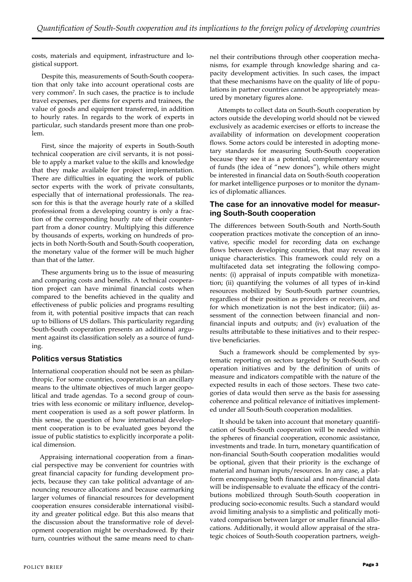costs, materials and equipment, infrastructure and logistical support.

Despite this, measurements of South-South cooperation that only take into account operational costs are very common7. In such cases, the practice is to include travel expenses, per diems for experts and trainees, the value of goods and equipment transferred, in addition to hourly rates. In regards to the work of experts in particular, such standards present more than one problem.

First, since the majority of experts in South-South technical cooperation are civil servants, it is not possible to apply a market value to the skills and knowledge that they make available for project implementation. There are difficulties in equating the work of public sector experts with the work of private consultants, especially that of international professionals. The reason for this is that the average hourly rate of a skilled professional from a developing country is only a fraction of the corresponding hourly rate of their counterpart from a donor country. Multiplying this difference by thousands of experts, working on hundreds of projects in both North-South and South-South cooperation, the monetary value of the former will be much higher than that of the latter.

These arguments bring us to the issue of measuring and comparing costs and benefits. A technical cooperation project can have minimal financial costs when compared to the benefits achieved in the quality and effectiveness of public policies and programs resulting from it, with potential positive impacts that can reach up to billions of US dollars. This particularity regarding South-South cooperation presents an additional argument against its classification solely as a source of funding.

## **Politics versus Statistics**

International cooperation should not be seen as philanthropic. For some countries, cooperation is an ancillary means to the ultimate objectives of much larger geopolitical and trade agendas. To a second group of countries with less economic or military influence, development cooperation is used as a soft power platform. In this sense, the question of how international development cooperation is to be evaluated goes beyond the issue of public statistics to explicitly incorporate a political dimension.

Appraising international cooperation from a financial perspective may be convenient for countries with great financial capacity for funding development projects, because they can take political advantage of announcing resource allocations and because earmarking larger volumes of financial resources for development cooperation ensures considerable international visibility and greater political edge. But this also means that the discussion about the transformative role of development cooperation might be overshadowed. By their turn, countries without the same means need to chan-

nel their contributions through other cooperation mechanisms, for example through knowledge sharing and capacity development activities. In such cases, the impact that these mechanisms have on the quality of life of populations in partner countries cannot be appropriately measured by monetary figures alone.

Attempts to collect data on South-South cooperation by actors outside the developing world should not be viewed exclusively as academic exercises or efforts to increase the availability of information on development cooperation flows. Some actors could be interested in adopting monetary standards for measuring South-South cooperation because they see it as a potential, complementary source of funds (the idea of "new donors"), while others might be interested in financial data on South-South cooperation for market intelligence purposes or to monitor the dynamics of diplomatic alliances.

#### **The case for an innovative model for measuring South-South cooperation**

The differences between South-South and North-South cooperation practices motivate the conception of an innovative, specific model for recording data on exchange flows between developing countries, that may reveal its unique characteristics. This framework could rely on a multifaceted data set integrating the following components: (i) appraisal of inputs compatible with monetization; (ii) quantifying the volumes of all types of in-kind resources mobilized by South-South partner countries, regardless of their position as providers or receivers, and for which monetization is not the best indicator; (iii) assessment of the connection between financial and nonfinancial inputs and outputs; and (iv) evaluation of the results attributable to these initiatives and to their respective beneficiaries.

Such a framework should be complemented by systematic reporting on sectors targeted by South-South cooperation initiatives and by the definition of units of measure and indicators compatible with the nature of the expected results in each of those sectors. These two categories of data would then serve as the basis for assessing coherence and political relevance of initiatives implemented under all South-South cooperation modalities.

It should be taken into account that monetary quantification of South-South cooperation will be needed within the spheres of financial cooperation, economic assistance, investments and trade. In turn, monetary quantification of non-financial South-South cooperation modalities would be optional, given that their priority is the exchange of material and human inputs/resources. In any case, a platform encompassing both financial and non-financial data will be indispensable to evaluate the efficacy of the contributions mobilized through South-South cooperation in producing socio-economic results. Such a standard would avoid limiting analysis to a simplistic and politically motivated comparison between larger or smaller financial allocations. Additionally, it would allow appraisal of the strategic choices of South-South cooperation partners, weigh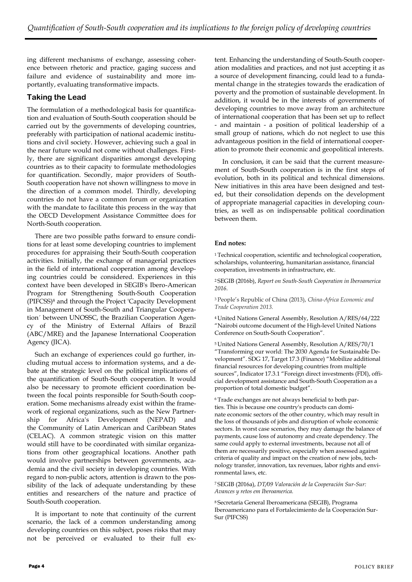ing different mechanisms of exchange, assessing coherence between rhetoric and practice, gaging success and failure and evidence of sustainability and more importantly, evaluating transformative impacts.

## **Taking the Lead**

The formulation of a methodological basis for quantification and evaluation of South-South cooperation should be carried out by the governments of developing countries, preferably with participation of national academic institutions and civil society. However, achieving such a goal in the near future would not come without challenges. Firstly, there are significant disparities amongst developing countries as to their capacity to formulate methodologies for quantification. Secondly, major providers of South-South cooperation have not shown willingness to move in the direction of a common model. Thirdly, developing countries do not have a common forum or organization with the mandate to facilitate this process in the way that the OECD Development Assistance Committee does for North-South cooperation.

There are two possible paths forward to ensure conditions for at least some developing countries to implement procedures for appraising their South-South cooperation activities. Initially, the exchange of managerial practices in the field of international cooperation among developing countries could be considered. Experiences in this context have been developed in SEGIB's Ibero-American Program for Strengthening South-South Cooperation (PIFCSS)<sup>8</sup> and through the Project 'Capacity Development in Management of South-South and Triangular Cooperation´ between UNOSSC, the Brazilian Cooperation Agency of the Ministry of External Affairs of Brazil (ABC/MRE) and the Japanese International Cooperation Agency (JICA).

Such an exchange of experiences could go further, including mutual access to information systems, and a debate at the strategic level on the political implications of the quantification of South-South cooperation. It would also be necessary to promote efficient coordination between the focal points responsible for South-South cooperation. Some mechanisms already exist within the framework of regional organizations, such as the New Partnership for Africa's Development (NEPAD) and the Community of Latin American and Caribbean States (CELAC). A common strategic vision on this matter would still have to be coordinated with similar organizations from other geographical locations. Another path would involve partnerships between governments, academia and the civil society in developing countries. With regard to non-public actors, attention is drawn to the possibility of the lack of adequate understanding by these entities and researchers of the nature and practice of South-South cooperation.

It is important to note that continuity of the current scenario, the lack of a common understanding among developing countries on this subject, poses risks that may not be perceived or evaluated to their full extent. Enhancing the understanding of South-South cooperation modalities and practices, and not just accepting it as a source of development financing, could lead to a fundamental change in the strategies towards the eradication of poverty and the promotion of sustainable development. In addition, it would be in the interests of governments of developing countries to move away from an architecture of international cooperation that has been set up to reflect - and maintain - a position of political leadership of a small group of nations, which do not neglect to use this advantageous position in the field of international cooperation to promote their economic and geopolitical interests.

In conclusion, it can be said that the current measurement of South-South cooperation is in the first steps of evolution, both in its political and technical dimensions. New initiatives in this area have been designed and tested, but their consolidation depends on the development of appropriate managerial capacities in developing countries, as well as on indispensable political coordination between them.

#### **End notes:**

<sup>1</sup>Technical cooperation, scientific and technological cooperation, scholarships, volunteering, humanitarian assistance, financial cooperation, investments in infrastructure, etc.

<sup>2</sup>SEGIB (2016b), *Report on South-South Cooperation in Iberoamerica 2016*.

<sup>3</sup>People's Republic of China (2013), *China-Africa Economic and Trade Cooperation 2013.*

<sup>4</sup>United Nations General Assembly, Resolution A/RES/64/222 "Nairobi outcome document of the High-level United Nations Conference on South-South Cooperation".

<sup>5</sup>United Nations General Assembly, Resolution A/RES/70/1 "Transforming our world: The 2030 Agenda for Sustainable Development". SDG 17, Target 17.3 (Finance) "Mobilize additional financial resources for developing countries from multiple sources", Indicator 17.3.1 "Foreign direct investments (FDI), official development assistance and South-South Cooperation as a proportion of total domestic budget".

6 Trade exchanges are not always beneficial to both parties. This is because one country's products can dominate economic sectors of the other country, which may result in the loss of thousands of jobs and disruption of whole economic sectors. In worst case scenarios, they may damage the balance of payments, cause loss of autonomy and create dependency. The same could apply to external investments, because not all of them are necessarily positive, especially when assessed against criteria of quality and impact on the creation of new jobs, technology transfer, innovation, tax revenues, labor rights and environmental laws, etc.

<sup>7</sup>SEGIB (2016a), *DT/09 Valoración de la Cooperación Sur-Sur: Avances y retos em Iberoamerica.*

<sup>8</sup>Secretaría General Iberoamericana (SEGIB), Programa Iberoamericano para el Fortalecimiento de la Cooperación Sur‐ Sur (PIFCSS)